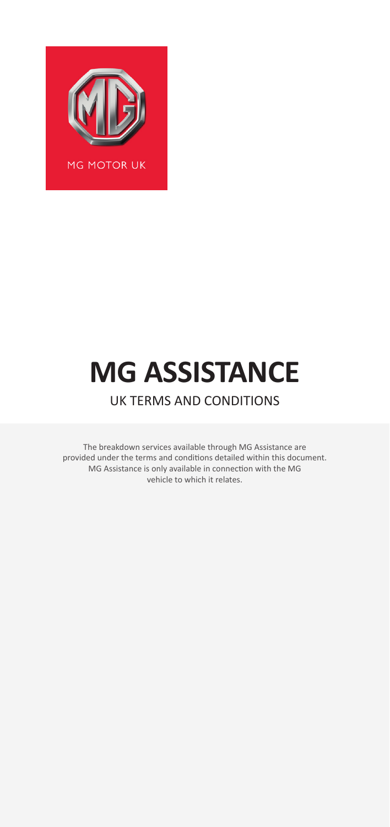

# **MG ASSISTANCE** UK TERMS AND CONDITIONS

The breakdown services available through MG Assistance are provided under the terms and conditions detailed within this document. MG Assistance is only available in connection with the MG vehicle to which it relates.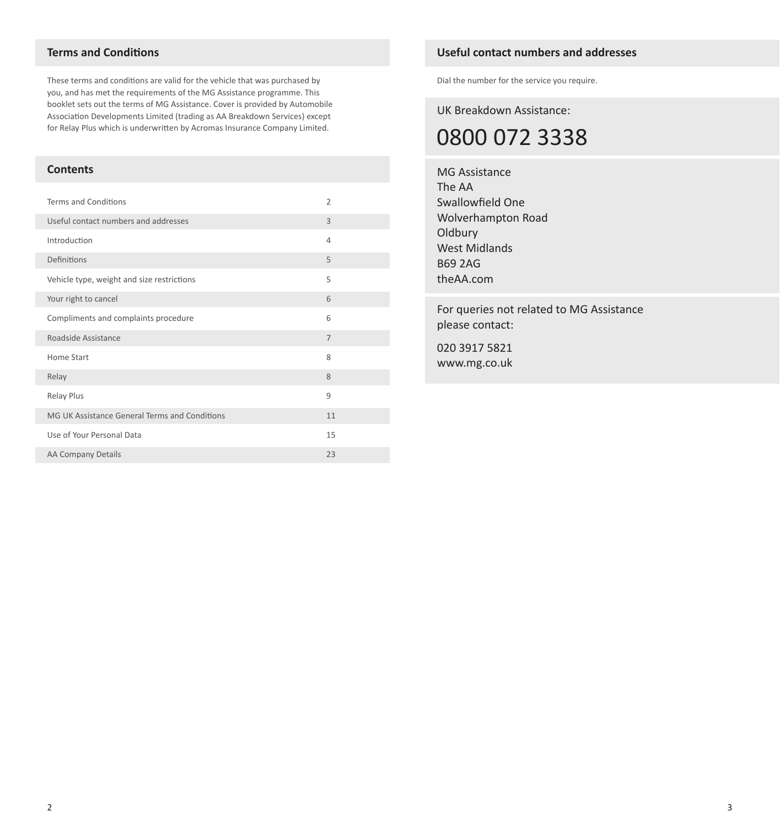# **Terms and Conditions**

These terms and conditions are valid for the vehicle that was purchased by you, and has met the requirements of the MG Assistance programme. This booklet sets out the terms of MG Assistance. Cover is provided by Automobile Association Developments Limited (trading as AA Breakdown Services) except for Relay Plus which is underwritten by Acromas Insurance Company Limited.

# **Contents**

| Terms and Conditions                          | $\overline{2}$ |
|-----------------------------------------------|----------------|
| Useful contact numbers and addresses          | 3              |
| Introduction                                  | 4              |
| Definitions                                   | 5              |
| Vehicle type, weight and size restrictions    | 5              |
| Your right to cancel                          | 6              |
| Compliments and complaints procedure          | 6              |
| Roadside Assistance                           | $\overline{7}$ |
| Home Start                                    | 8              |
| Relay                                         | 8              |
| Relay Plus                                    | 9              |
| MG UK Assistance General Terms and Conditions | 11             |
| Use of Your Personal Data                     | 15             |
| AA Company Details                            | 23             |

# **Useful contact numbers and addresses**

Dial the number for the service you require.

UK Breakdown Assistance:

0800 072 3338

MG Assistance The AA Swallowfield One Wolverhampton Road **Oldbury** West Midlands B69 2AG theAA.com

For queries not related to MG Assistance please contact:

020 3917 5821 www.mg.co.uk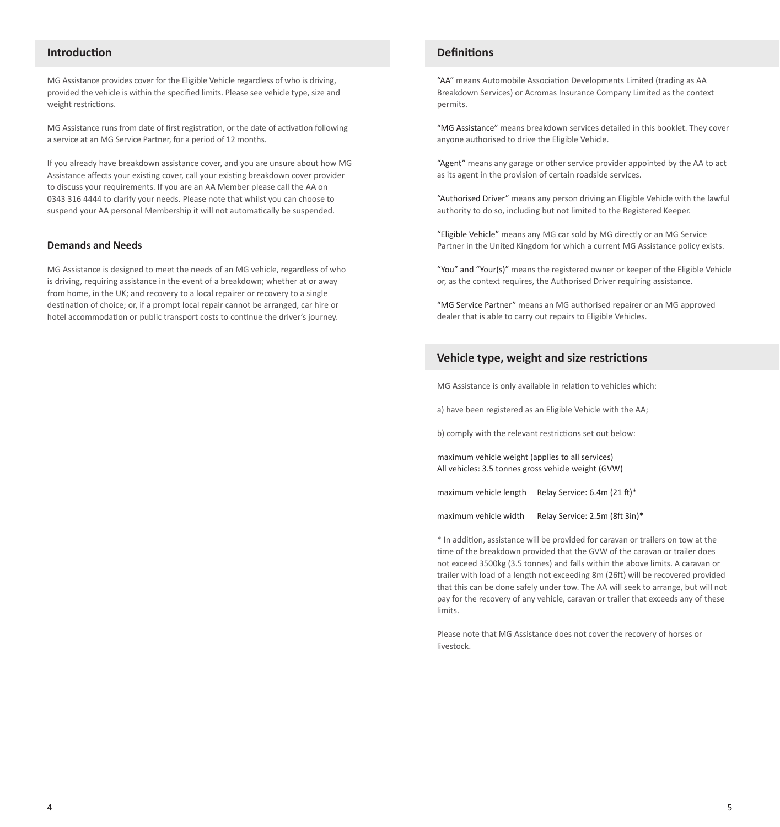# **Introduction**

MG Assistance provides cover for the Eligible Vehicle regardless of who is driving, provided the vehicle is within the specified limits. Please see vehicle type, size and weight restrictions.

MG Assistance runs from date of first registration, or the date of activation following a service at an MG Service Partner, for a period of 12 months.

If you already have breakdown assistance cover, and you are unsure about how MG Assistance affects your existing cover, call your existing breakdown cover provider to discuss your requirements. If you are an AA Member please call the AA on 0343 316 4444 to clarify your needs. Please note that whilst you can choose to suspend your AA personal Membership it will not automatically be suspended.

### **Demands and Needs**

MG Assistance is designed to meet the needs of an MG vehicle, regardless of who is driving, requiring assistance in the event of a breakdown; whether at or away from home, in the UK; and recovery to a local repairer or recovery to a single destination of choice; or, if a prompt local repair cannot be arranged, car hire or hotel accommodation or public transport costs to continue the driver's journey.

# **Definitions**

"AA" means Automobile Association Developments Limited (trading as AA Breakdown Services) or Acromas Insurance Company Limited as the context permits.

"MG Assistance" means breakdown services detailed in this booklet. They cover anyone authorised to drive the Eligible Vehicle.

"Agent" means any garage or other service provider appointed by the AA to act as its agent in the provision of certain roadside services.

"Authorised Driver" means any person driving an Eligible Vehicle with the lawful authority to do so, including but not limited to the Registered Keeper.

"Eligible Vehicle" means any MG car sold by MG directly or an MG Service Partner in the United Kingdom for which a current MG Assistance policy exists.

"You" and "Your(s)" means the registered owner or keeper of the Eligible Vehicle or, as the context requires, the Authorised Driver requiring assistance.

"MG Service Partner" means an MG authorised repairer or an MG approved dealer that is able to carry out repairs to Eligible Vehicles.

# **Vehicle type, weight and size restrictions**

MG Assistance is only available in relation to vehicles which:

a) have been registered as an Eligible Vehicle with the AA;

b) comply with the relevant restrictions set out below:

maximum vehicle weight (applies to all services) All vehicles: 3.5 tonnes gross vehicle weight (GVW)

maximum vehicle length Relay Service: 6.4m (21 ft)\*

maximum vehicle width Relay Service: 2.5m (8ft 3in)\*

\* In addition, assistance will be provided for caravan or trailers on tow at the time of the breakdown provided that the GVW of the caravan or trailer does not exceed 3500kg (3.5 tonnes) and falls within the above limits. A caravan or trailer with load of a length not exceeding 8m (26ft) will be recovered provided that this can be done safely under tow. The AA will seek to arrange, but will not pay for the recovery of any vehicle, caravan or trailer that exceeds any of these limits.

Please note that MG Assistance does not cover the recovery of horses or livestock.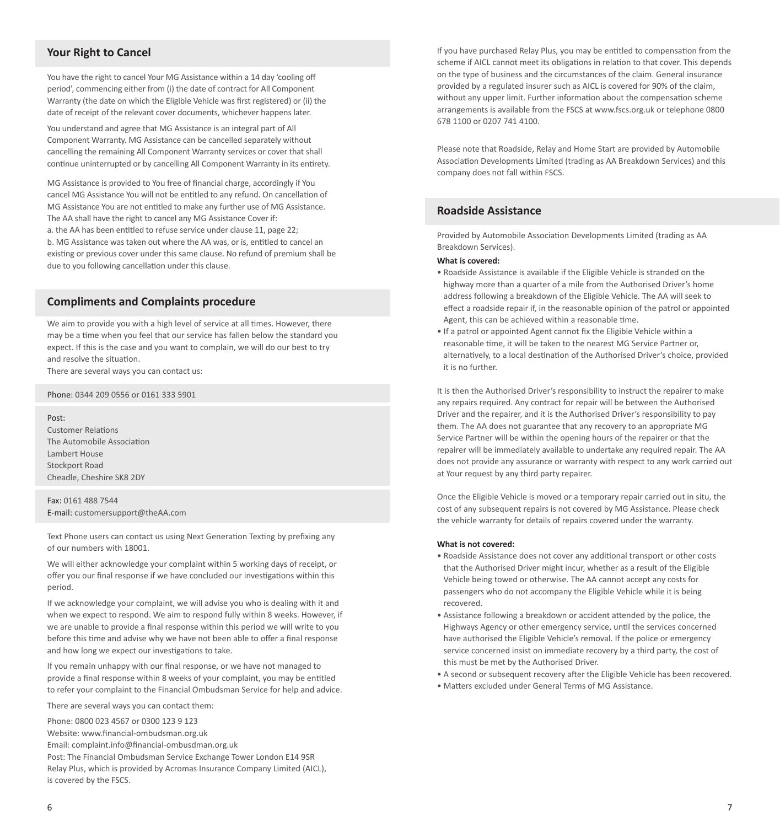# **Your Right to Cancel**

You have the right to cancel Your MG Assistance within a 14 day 'cooling off period', commencing either from (i) the date of contract for All Component Warranty (the date on which the Eligible Vehicle was first registered) or (ii) the date of receipt of the relevant cover documents, whichever happens later.

You understand and agree that MG Assistance is an integral part of All Component Warranty. MG Assistance can be cancelled separately without cancelling the remaining All Component Warranty services or cover that shall continue uninterrupted or by cancelling All Component Warranty in its entirety.

MG Assistance is provided to You free of financial charge, accordingly if You cancel MG Assistance You will not be entitled to any refund. On cancellation of MG Assistance You are not entitled to make any further use of MG Assistance. The AA shall have the right to cancel any MG Assistance Cover if: a. the AA has been entitled to refuse service under clause 11, page 22; b. MG Assistance was taken out where the AA was, or is, entitled to cancel an existing or previous cover under this same clause. No refund of premium shall be due to you following cancellation under this clause.

# **Compliments and Complaints procedure**

We aim to provide you with a high level of service at all times. However, there may be a time when you feel that our service has fallen below the standard you expect. If this is the case and you want to complain, we will do our best to try and resolve the situation.

There are several ways you can contact us:

Phone: 0344 209 0556 or 0161 333 5901

#### Post:

Customer Relations The Automobile Association Lambert House Stockport Road Cheadle, Cheshire SK8 2DY

# Fax: 0161 488 7544

E-mail: customersupport@theAA.com

Text Phone users can contact us using Next Generation Texting by prefixing any of our numbers with 18001.

We will either acknowledge your complaint within 5 working days of receipt, or offer you our final response if we have concluded our investigations within this period.

If we acknowledge your complaint, we will advise you who is dealing with it and when we expect to respond. We aim to respond fully within 8 weeks. However, if we are unable to provide a final response within this period we will write to you before this time and advise why we have not been able to offer a final response and how long we expect our investigations to take.

If you remain unhappy with our final response, or we have not managed to provide a final response within 8 weeks of your complaint, you may be entitled to refer your complaint to the Financial Ombudsman Service for help and advice.

There are several ways you can contact them:

Phone: 0800 023 4567 or 0300 123 9 123

- Website: www.financial-ombudsman.org.uk
- Email: complaint.info@financial-ombusdman.org.uk

Post: The Financial Ombudsman Service Exchange Tower London E14 9SR

Relay Plus, which is provided by Acromas Insurance Company Limited (AICL), is covered by the FSCS.

If you have purchased Relay Plus, you may be entitled to compensation from the scheme if AICL cannot meet its obligations in relation to that cover. This depends on the type of business and the circumstances of the claim. General insurance provided by a regulated insurer such as AICL is covered for 90% of the claim, without any upper limit. Further information about the compensation scheme arrangements is available from the FSCS at www.fscs.org.uk or telephone 0800 678 1100 or 0207 741 4100.

Please note that Roadside, Relay and Home Start are provided by Automobile Association Developments Limited (trading as AA Breakdown Services) and this company does not fall within FSCS.

# **Roadside Assistance**

Provided by Automobile Association Developments Limited (trading as AA Breakdown Services).

## **What is covered:**

- Roadside Assistance is available if the Eligible Vehicle is stranded on the highway more than a quarter of a mile from the Authorised Driver's home address following a breakdown of the Eligible Vehicle. The AA will seek to effect a roadside repair if, in the reasonable opinion of the patrol or appointed Agent, this can be achieved within a reasonable time.
- If a patrol or appointed Agent cannot fix the Eligible Vehicle within a reasonable time, it will be taken to the nearest MG Service Partner or, alternatively, to a local destination of the Authorised Driver's choice, provided it is no further.

It is then the Authorised Driver's responsibility to instruct the repairer to make any repairs required. Any contract for repair will be between the Authorised Driver and the repairer, and it is the Authorised Driver's responsibility to pay them. The AA does not guarantee that any recovery to an appropriate MG Service Partner will be within the opening hours of the repairer or that the repairer will be immediately available to undertake any required repair. The AA does not provide any assurance or warranty with respect to any work carried out at Your request by any third party repairer.

Once the Eligible Vehicle is moved or a temporary repair carried out in situ, the cost of any subsequent repairs is not covered by MG Assistance. Please check the vehicle warranty for details of repairs covered under the warranty.

#### **What is not covered:**

- Roadside Assistance does not cover any additional transport or other costs that the Authorised Driver might incur, whether as a result of the Eligible Vehicle being towed or otherwise. The AA cannot accept any costs for passengers who do not accompany the Eligible Vehicle while it is being recovered.
- Assistance following a breakdown or accident attended by the police, the Highways Agency or other emergency service, until the services concerned have authorised the Eligible Vehicle's removal. If the police or emergency service concerned insist on immediate recovery by a third party, the cost of this must be met by the Authorised Driver.
- A second or subsequent recovery after the Eligible Vehicle has been recovered.
- Matters excluded under General Terms of MG Assistance.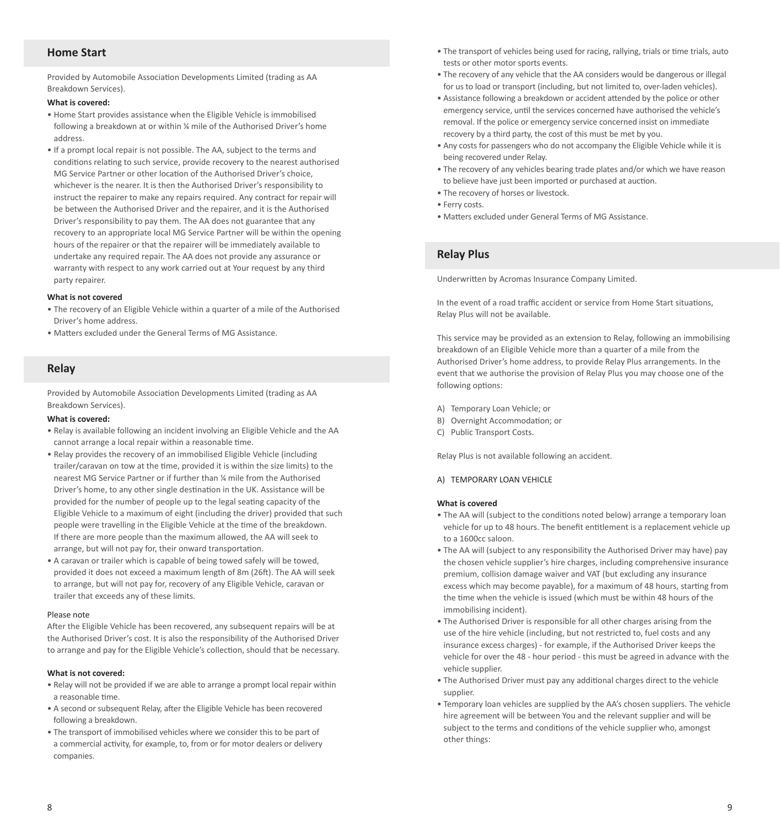# **Home Start**

Provided by Automobile Association Developments Limited (trading as AA Breakdown Services).

#### **What is covered:**

- Home Start provides assistance when the Eligible Vehicle is immobilised following a breakdown at or within ¼ mile of the Authorised Driver's home address.
- If a prompt local repair is not possible. The AA, subject to the terms and conditions relating to such service, provide recovery to the nearest authorised MG Service Partner or other location of the Authorised Driver's choice, whichever is the nearer. It is then the Authorised Driver's responsibility to instruct the repairer to make any repairs required. Any contract for repair will be between the Authorised Driver and the repairer, and it is the Authorised Driver's responsibility to pay them. The AA does not guarantee that any recovery to an appropriate local MG Service Partner will be within the opening hours of the repairer or that the repairer will be immediately available to undertake any required repair. The AA does not provide any assurance or warranty with respect to any work carried out at Your request by any third party repairer.

#### **What is not covered**

- The recovery of an Eligible Vehicle within a quarter of a mile of the Authorised Driver's home address.
- Matters excluded under the General Terms of MG Assistance.

# **Relay**

Provided by Automobile Association Developments Limited (trading as AA Breakdown Services).

#### **What is covered:**

- Relay is available following an incident involving an Eligible Vehicle and the AA cannot arrange a local repair within a reasonable time.
- Relay provides the recovery of an immobilised Eligible Vehicle (including trailer/caravan on tow at the time, provided it is within the size limits) to the nearest MG Service Partner or if further than ¼ mile from the Authorised Driver's home, to any other single destination in the UK. Assistance will be provided for the number of people up to the legal seating capacity of the Eligible Vehicle to a maximum of eight (including the driver) provided that such people were travelling in the Eligible Vehicle at the time of the breakdown. If there are more people than the maximum allowed, the AA will seek to arrange, but will not pay for, their onward transportation.
- A caravan or trailer which is capable of being towed safely will be towed, provided it does not exceed a maximum length of 8m (26ft). The AA will seek to arrange, but will not pay for, recovery of any Eligible Vehicle, caravan or trailer that exceeds any of these limits.

#### Please note

After the Eligible Vehicle has been recovered, any subsequent repairs will be at the Authorised Driver's cost. It is also the responsibility of the Authorised Driver to arrange and pay for the Eligible Vehicle's collection, should that be necessary.

#### **What is not covered:**

- Relay will not be provided if we are able to arrange a prompt local repair within a reasonable time.
- A second or subsequent Relay, after the Eligible Vehicle has been recovered following a breakdown.
- The transport of immobilised vehicles where we consider this to be part of a commercial activity, for example, to, from or for motor dealers or delivery companies.
- The transport of vehicles being used for racing, rallying, trials or time trials, auto tests or other motor sports events.
- The recovery of any vehicle that the AA considers would be dangerous or illegal for us to load or transport (including, but not limited to, over-laden vehicles).
- Assistance following a breakdown or accident attended by the police or other emergency service, until the services concerned have authorised the vehicle's removal. If the police or emergency service concerned insist on immediate recovery by a third party, the cost of this must be met by you.
- Any costs for passengers who do not accompany the Eligible Vehicle while it is being recovered under Relay.
- The recovery of any vehicles bearing trade plates and/or which we have reason to believe have just been imported or purchased at auction.
- The recovery of horses or livestock.
- Ferry costs.
- Matters excluded under General Terms of MG Assistance.

# **Relay Plus**

Underwritten by Acromas Insurance Company Limited.

In the event of a road traffic accident or service from Home Start situations, Relay Plus will not be available.

This service may be provided as an extension to Relay, following an immobilising breakdown of an Eligible Vehicle more than a quarter of a mile from the Authorised Driver's home address, to provide Relay Plus arrangements. In the event that we authorise the provision of Relay Plus you may choose one of the following options:

- A) Temporary Loan Vehicle; or
- B) Overnight Accommodation; or
- C) Public Transport Costs.

Relay Plus is not available following an accident.

# A) TEMPORARY LOAN VEHICLE

#### **What is covered**

- The AA will (subject to the conditions noted below) arrange a temporary loan vehicle for up to 48 hours. The benefit entitlement is a replacement vehicle up to a 1600cc saloon.
- The AA will (subject to any responsibility the Authorised Driver may have) pay the chosen vehicle supplier's hire charges, including comprehensive insurance premium, collision damage waiver and VAT (but excluding any insurance excess which may become payable), for a maximum of 48 hours, starting from the time when the vehicle is issued (which must be within 48 hours of the immobilising incident).
- The Authorised Driver is responsible for all other charges arising from the use of the hire vehicle (including, but not restricted to, fuel costs and any insurance excess charges) - for example, if the Authorised Driver keeps the vehicle for over the 48 - hour period - this must be agreed in advance with the vehicle supplier.
- The Authorised Driver must pay any additional charges direct to the vehicle supplier.
- Temporary loan vehicles are supplied by the AA's chosen suppliers. The vehicle hire agreement will be between You and the relevant supplier and will be subject to the terms and conditions of the vehicle supplier who, amongst other things: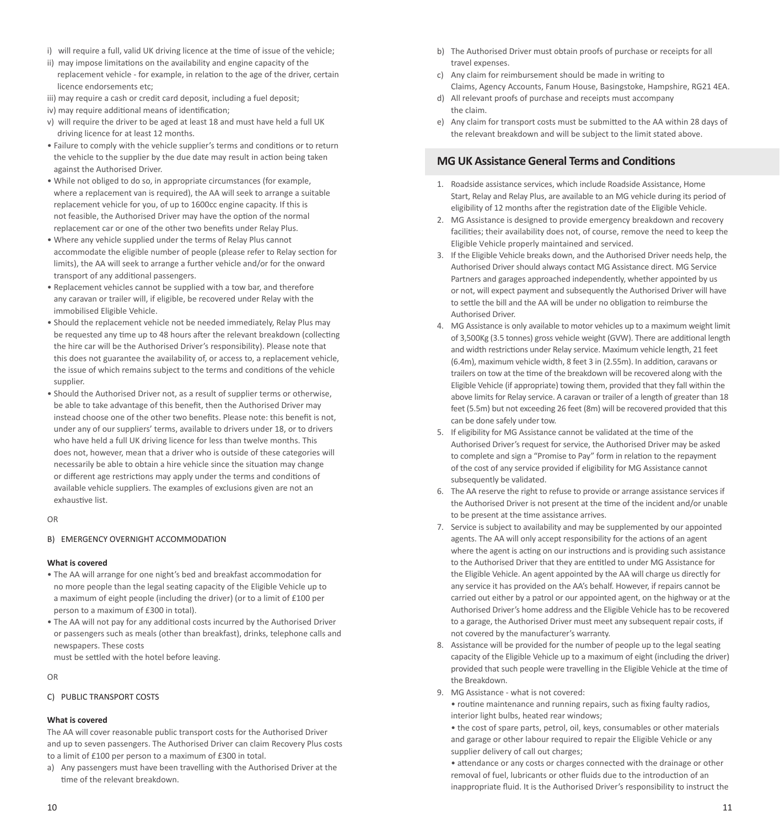- i) will require a full, valid UK driving licence at the time of issue of the vehicle;
- ii) may impose limitations on the availability and engine capacity of the replacement vehicle - for example, in relation to the age of the driver, certain licence endorsements etc;
- iii) may require a cash or credit card deposit, including a fuel deposit;
- iv) may require additional means of identification:
- v) will require the driver to be aged at least 18 and must have held a full UK driving licence for at least 12 months.
- Failure to comply with the vehicle supplier's terms and conditions or to return the vehicle to the supplier by the due date may result in action being taken against the Authorised Driver.
- While not obliged to do so, in appropriate circumstances (for example, where a replacement van is required), the AA will seek to arrange a suitable replacement vehicle for you, of up to 1600cc engine capacity. If this is not feasible, the Authorised Driver may have the option of the normal replacement car or one of the other two benefits under Relay Plus.
- Where any vehicle supplied under the terms of Relay Plus cannot accommodate the eligible number of people (please refer to Relay section for limits), the AA will seek to arrange a further vehicle and/or for the onward transport of any additional passengers.
- Replacement vehicles cannot be supplied with a tow bar, and therefore any caravan or trailer will, if eligible, be recovered under Relay with the immobilised Eligible Vehicle.
- Should the replacement vehicle not be needed immediately, Relay Plus may be requested any time up to 48 hours after the relevant breakdown (collecting the hire car will be the Authorised Driver's responsibility). Please note that this does not guarantee the availability of, or access to, a replacement vehicle, the issue of which remains subject to the terms and conditions of the vehicle supplier.
- Should the Authorised Driver not, as a result of supplier terms or otherwise, be able to take advantage of this benefit, then the Authorised Driver may instead choose one of the other two benefits. Please note: this benefit is not under any of our suppliers' terms, available to drivers under 18, or to drivers who have held a full UK driving licence for less than twelve months. This does not, however, mean that a driver who is outside of these categories will necessarily be able to obtain a hire vehicle since the situation may change or different age restrictions may apply under the terms and conditions of available vehicle suppliers. The examples of exclusions given are not an exhaustive list.

#### OR

#### B) EMERGENCY OVERNIGHT ACCOMMODATION

#### **What is covered**

- The AA will arrange for one night's bed and breakfast accommodation for no more people than the legal seating capacity of the Eligible Vehicle up to a maximum of eight people (including the driver) (or to a limit of £100 per person to a maximum of £300 in total).
- The AA will not pay for any additional costs incurred by the Authorised Driver or passengers such as meals (other than breakfast), drinks, telephone calls and newspapers. These costs

must be settled with the hotel before leaving.

OR

# C) PUBLIC TRANSPORT COSTS

#### **What is covered**

The AA will cover reasonable public transport costs for the Authorised Driver and up to seven passengers. The Authorised Driver can claim Recovery Plus costs to a limit of £100 per person to a maximum of £300 in total.

a) Any passengers must have been travelling with the Authorised Driver at the time of the relevant breakdown.

- b) The Authorised Driver must obtain proofs of purchase or receipts for all travel expenses.
- c) Any claim for reimbursement should be made in writing to Claims, Agency Accounts, Fanum House, Basingstoke, Hampshire, RG21 4EA.
- d) All relevant proofs of purchase and receipts must accompany the claim.
- e) Any claim for transport costs must be submitted to the AA within 28 days of the relevant breakdown and will be subject to the limit stated above.

# **MG UK Assistance General Terms and Conditions**

- 1. Roadside assistance services, which include Roadside Assistance, Home Start, Relay and Relay Plus, are available to an MG vehicle during its period of eligibility of 12 months after the registration date of the Eligible Vehicle.
- 2. MG Assistance is designed to provide emergency breakdown and recovery facilities; their availability does not, of course, remove the need to keep the Eligible Vehicle properly maintained and serviced.
- 3. If the Eligible Vehicle breaks down, and the Authorised Driver needs help, the Authorised Driver should always contact MG Assistance direct. MG Service Partners and garages approached independently, whether appointed by us or not, will expect payment and subsequently the Authorised Driver will have to settle the bill and the AA will be under no obligation to reimburse the Authorised Driver.
- 4. MG Assistance is only available to motor vehicles up to a maximum weight limit of 3,500Kg (3.5 tonnes) gross vehicle weight (GVW). There are additional length and width restrictions under Relay service. Maximum vehicle length, 21 feet (6.4m), maximum vehicle width, 8 feet 3 in (2.55m). In addition, caravans or trailers on tow at the time of the breakdown will be recovered along with the Eligible Vehicle (if appropriate) towing them, provided that they fall within the above limits for Relay service. A caravan or trailer of a length of greater than 18 feet (5.5m) but not exceeding 26 feet (8m) will be recovered provided that this can be done safely under tow.
- 5. If eligibility for MG Assistance cannot be validated at the time of the Authorised Driver's request for service, the Authorised Driver may be asked to complete and sign a "Promise to Pay" form in relation to the repayment of the cost of any service provided if eligibility for MG Assistance cannot subsequently be validated.
- 6. The AA reserve the right to refuse to provide or arrange assistance services if the Authorised Driver is not present at the time of the incident and/or unable to be present at the time assistance arrives.
- 7. Service is subject to availability and may be supplemented by our appointed agents. The AA will only accept responsibility for the actions of an agent where the agent is acting on our instructions and is providing such assistance to the Authorised Driver that they are entitled to under MG Assistance for the Eligible Vehicle. An agent appointed by the AA will charge us directly for any service it has provided on the AA's behalf. However, if repairs cannot be carried out either by a patrol or our appointed agent, on the highway or at the Authorised Driver's home address and the Eligible Vehicle has to be recovered to a garage, the Authorised Driver must meet any subsequent repair costs, if not covered by the manufacturer's warranty.
- 8. Assistance will be provided for the number of people up to the legal seating capacity of the Eligible Vehicle up to a maximum of eight (including the driver) provided that such people were travelling in the Eligible Vehicle at the time of the Breakdown.
- 9. MG Assistance what is not covered:

• routine maintenance and running repairs, such as fixing faulty radios, interior light bulbs, heated rear windows;

• the cost of spare parts, petrol, oil, keys, consumables or other materials and garage or other labour required to repair the Eligible Vehicle or any supplier delivery of call out charges;

• attendance or any costs or charges connected with the drainage or other removal of fuel, lubricants or other fluids due to the introduction of an inappropriate fluid. It is the Authorised Driver's responsibility to instruct the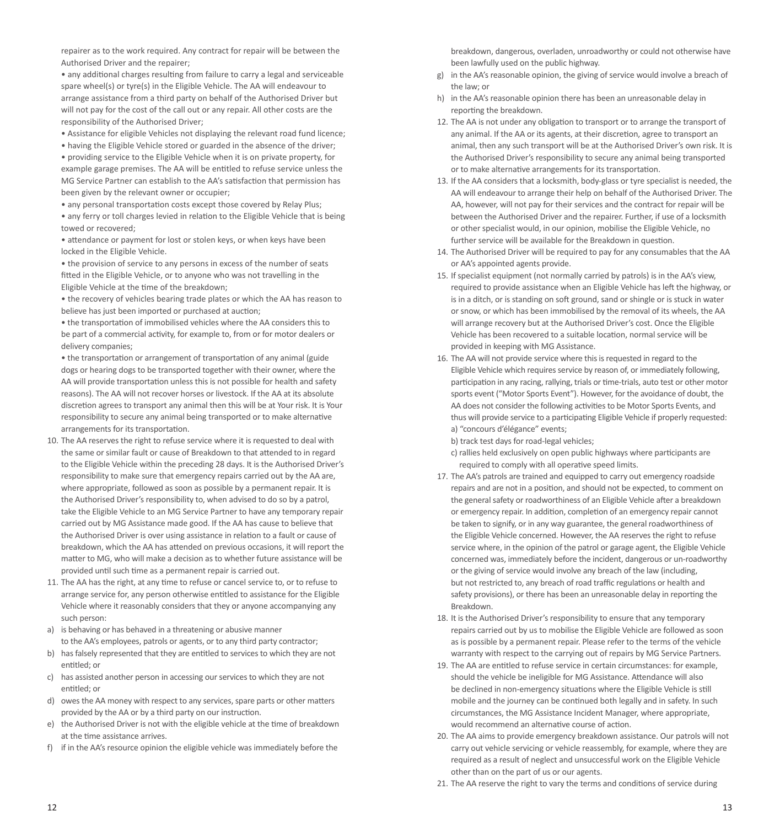repairer as to the work required. Any contract for repair will be between the Authorised Driver and the repairer;

• any additional charges resulting from failure to carry a legal and serviceable spare wheel(s) or tyre(s) in the Eligible Vehicle. The AA will endeavour to arrange assistance from a third party on behalf of the Authorised Driver but will not pay for the cost of the call out or any repair. All other costs are the responsibility of the Authorised Driver;

• Assistance for eligible Vehicles not displaying the relevant road fund licence;

• having the Eligible Vehicle stored or guarded in the absence of the driver;

• providing service to the Eligible Vehicle when it is on private property, for example garage premises. The AA will be entitled to refuse service unless the MG Service Partner can establish to the AA's satisfaction that permission has been given by the relevant owner or occupier;

• any personal transportation costs except those covered by Relay Plus;

• any ferry or toll charges levied in relation to the Eligible Vehicle that is being towed or recovered;

• attendance or payment for lost or stolen keys, or when keys have been locked in the Eligible Vehicle.

• the provision of service to any persons in excess of the number of seats fitted in the Eligible Vehicle, or to anyone who was not travelling in the Eligible Vehicle at the time of the breakdown;

• the recovery of vehicles bearing trade plates or which the AA has reason to believe has just been imported or purchased at auction;

• the transportation of immobilised vehicles where the AA considers this to be part of a commercial activity, for example to, from or for motor dealers or delivery companies;

• the transportation or arrangement of transportation of any animal (guide dogs or hearing dogs to be transported together with their owner, where the AA will provide transportation unless this is not possible for health and safety reasons). The AA will not recover horses or livestock. If the AA at its absolute discretion agrees to transport any animal then this will be at Your risk. It is Your responsibility to secure any animal being transported or to make alternative arrangements for its transportation.

- 10. The AA reserves the right to refuse service where it is requested to deal with the same or similar fault or cause of Breakdown to that attended to in regard to the Eligible Vehicle within the preceding 28 days. It is the Authorised Driver's responsibility to make sure that emergency repairs carried out by the AA are, where appropriate, followed as soon as possible by a permanent repair. It is the Authorised Driver's responsibility to, when advised to do so by a patrol, take the Eligible Vehicle to an MG Service Partner to have any temporary repair carried out by MG Assistance made good. If the AA has cause to believe that the Authorised Driver is over using assistance in relation to a fault or cause of breakdown, which the AA has attended on previous occasions, it will report the matter to MG, who will make a decision as to whether future assistance will be provided until such time as a permanent repair is carried out.
- 11. The AA has the right, at any time to refuse or cancel service to, or to refuse to arrange service for, any person otherwise entitled to assistance for the Eligible Vehicle where it reasonably considers that they or anyone accompanying any such person:
- a) is behaving or has behaved in a threatening or abusive manner to the AA's employees, patrols or agents, or to any third party contractor;
- b) has falsely represented that they are entitled to services to which they are not entitled; or
- c) has assisted another person in accessing our services to which they are not entitled; or
- d) owes the AA money with respect to any services, spare parts or other matters provided by the AA or by a third party on our instruction.
- e) the Authorised Driver is not with the eligible vehicle at the time of breakdown at the time assistance arrives.
- f) if in the AA's resource opinion the eligible vehicle was immediately before the

breakdown, dangerous, overladen, unroadworthy or could not otherwise have been lawfully used on the public highway.

- g) in the AA's reasonable opinion, the giving of service would involve a breach of the law; or
- h) in the AA's reasonable opinion there has been an unreasonable delay in reporting the breakdown.
- 12. The AA is not under any obligation to transport or to arrange the transport of any animal. If the AA or its agents, at their discretion, agree to transport an animal, then any such transport will be at the Authorised Driver's own risk. It is the Authorised Driver's responsibility to secure any animal being transported or to make alternative arrangements for its transportation.
- 13. If the AA considers that a locksmith, body-glass or tyre specialist is needed, the AA will endeavour to arrange their help on behalf of the Authorised Driver. The AA, however, will not pay for their services and the contract for repair will be between the Authorised Driver and the repairer. Further, if use of a locksmith or other specialist would, in our opinion, mobilise the Eligible Vehicle, no further service will be available for the Breakdown in question.
- 14. The Authorised Driver will be required to pay for any consumables that the AA or AA's appointed agents provide.
- 15. If specialist equipment (not normally carried by patrols) is in the AA's view, required to provide assistance when an Eligible Vehicle has left the highway, or is in a ditch, or is standing on soft ground, sand or shingle or is stuck in water or snow, or which has been immobilised by the removal of its wheels, the AA will arrange recovery but at the Authorised Driver's cost. Once the Eligible Vehicle has been recovered to a suitable location, normal service will be provided in keeping with MG Assistance.
- 16. The AA will not provide service where this is requested in regard to the Eligible Vehicle which requires service by reason of, or immediately following, participation in any racing, rallying, trials or time-trials, auto test or other motor sports event ("Motor Sports Event"). However, for the avoidance of doubt, the AA does not consider the following activities to be Motor Sports Events, and thus will provide service to a participating Eligible Vehicle if properly requested: a) "concours d'élégance" events;
	- b) track test days for road-legal vehicles;
	- c) rallies held exclusively on open public highways where participants are required to comply with all operative speed limits.
- 17. The AA's patrols are trained and equipped to carry out emergency roadside repairs and are not in a position, and should not be expected, to comment on the general safety or roadworthiness of an Eligible Vehicle after a breakdown or emergency repair. In addition, completion of an emergency repair cannot be taken to signify, or in any way guarantee, the general roadworthiness of the Eligible Vehicle concerned. However, the AA reserves the right to refuse service where, in the opinion of the patrol or garage agent, the Eligible Vehicle concerned was, immediately before the incident, dangerous or un-roadworthy or the giving of service would involve any breach of the law (including, but not restricted to, any breach of road traffic regulations or health and safety provisions), or there has been an unreasonable delay in reporting the Breakdown.
- 18. It is the Authorised Driver's responsibility to ensure that any temporary repairs carried out by us to mobilise the Eligible Vehicle are followed as soon as is possible by a permanent repair. Please refer to the terms of the vehicle warranty with respect to the carrying out of repairs by MG Service Partners.
- 19. The AA are entitled to refuse service in certain circumstances: for example, should the vehicle be ineligible for MG Assistance. Attendance will also be declined in non-emergency situations where the Eligible Vehicle is still mobile and the journey can be continued both legally and in safety. In such circumstances, the MG Assistance Incident Manager, where appropriate, would recommend an alternative course of action.
- 20. The AA aims to provide emergency breakdown assistance. Our patrols will not carry out vehicle servicing or vehicle reassembly, for example, where they are required as a result of neglect and unsuccessful work on the Eligible Vehicle other than on the part of us or our agents.
- 21. The AA reserve the right to vary the terms and conditions of service during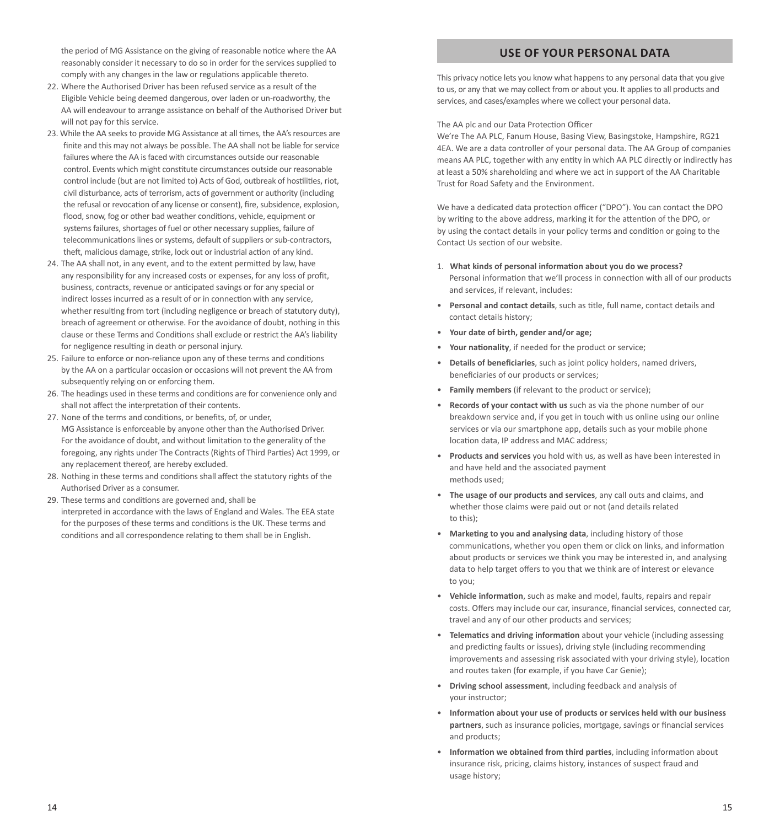the period of MG Assistance on the giving of reasonable notice where the AA reasonably consider it necessary to do so in order for the services supplied to comply with any changes in the law or regulations applicable thereto.

- 22. Where the Authorised Driver has been refused service as a result of the Eligible Vehicle being deemed dangerous, over laden or un-roadworthy, the AA will endeavour to arrange assistance on behalf of the Authorised Driver but will not pay for this service.
- 23. While the AA seeks to provide MG Assistance at all times, the AA's resources are finite and this may not always be possible. The AA shall not be liable for service failures where the AA is faced with circumstances outside our reasonable control. Events which might constitute circumstances outside our reasonable control include (but are not limited to) Acts of God, outbreak of hostilities, riot, civil disturbance, acts of terrorism, acts of government or authority (including the refusal or revocation of any license or consent), fire, subsidence, explosion, flood, snow, fog or other bad weather conditions, vehicle, equipment or systems failures, shortages of fuel or other necessary supplies, failure of telecommunications lines or systems, default of suppliers or sub-contractors, theft, malicious damage, strike, lock out or industrial action of any kind.
- 24. The AA shall not, in any event, and to the extent permitted by law, have any responsibility for any increased costs or expenses, for any loss of profit, business, contracts, revenue or anticipated savings or for any special or indirect losses incurred as a result of or in connection with any service, whether resulting from tort (including negligence or breach of statutory duty), breach of agreement or otherwise. For the avoidance of doubt, nothing in this clause or these Terms and Conditions shall exclude or restrict the AA's liability for negligence resulting in death or personal injury.
- 25. Failure to enforce or non-reliance upon any of these terms and conditions by the AA on a particular occasion or occasions will not prevent the AA from subsequently relying on or enforcing them.
- 26. The headings used in these terms and conditions are for convenience only and shall not affect the interpretation of their contents.
- 27. None of the terms and conditions, or benefits, of, or under MG Assistance is enforceable by anyone other than the Authorised Driver. For the avoidance of doubt, and without limitation to the generality of the foregoing, any rights under The Contracts (Rights of Third Parties) Act 1999, or any replacement thereof, are hereby excluded.
- 28. Nothing in these terms and conditions shall affect the statutory rights of the Authorised Driver as a consumer.
- 29. These terms and conditions are governed and, shall be interpreted in accordance with the laws of England and Wales. The EEA state for the purposes of these terms and conditions is the UK. These terms and conditions and all correspondence relating to them shall be in English.

# **USE OF YOUR PERSONAL DATA**

This privacy notice lets you know what happens to any personal data that you give to us, or any that we may collect from or about you. It applies to all products and services, and cases/examples where we collect your personal data.

The AA plc and our Data Protection Officer

We're The AA PLC, Fanum House, Basing View, Basingstoke, Hampshire, RG21 4EA. We are a data controller of your personal data. The AA Group of companies means AA PLC, together with any entity in which AA PLC directly or indirectly has at least a 50% shareholding and where we act in support of the AA Charitable Trust for Road Safety and the Environment.

We have a dedicated data protection officer ("DPO"). You can contact the DPO by writing to the above address, marking it for the attention of the DPO, or by using the contact details in your policy terms and condition or going to the Contact Us section of our website.

- 1. **What kinds of personal information about you do we process?** Personal information that we'll process in connection with all of our products and services, if relevant, includes:
- **Personal and contact details**, such as title, full name, contact details and contact details history;
- **Your date of birth, gender and/or age;**
- **Your nationality**, if needed for the product or service;
- **Details of beneficiaries**, such as joint policy holders, named drivers, beneficiaries of our products or services;
- **Family members** (if relevant to the product or service);
- **Records of your contact with us** such as via the phone number of our breakdown service and, if you get in touch with us online using our online services or via our smartphone app, details such as your mobile phone location data, IP address and MAC address;
- **Products and services** you hold with us, as well as have been interested in and have held and the associated payment methods used;
- **The usage of our products and services**, any call outs and claims, and whether those claims were paid out or not (and details related to this);
- **Marketing to you and analysing data**, including history of those communications, whether you open them or click on links, and information about products or services we think you may be interested in, and analysing data to help target offers to you that we think are of interest or elevance to you;
- **Vehicle information**, such as make and model, faults, repairs and repair costs. Offers may include our car, insurance, financial services, connected car, travel and any of our other products and services;
- **Telematics and driving information** about your vehicle (including assessing and predicting faults or issues), driving style (including recommending improvements and assessing risk associated with your driving style), location and routes taken (for example, if you have Car Genie);
- **Driving school assessment**, including feedback and analysis of your instructor;
- **Information about your use of products or services held with our business partners**, such as insurance policies, mortgage, savings or financial services and products;
- **Information we obtained from third parties**, including information about insurance risk, pricing, claims history, instances of suspect fraud and usage history;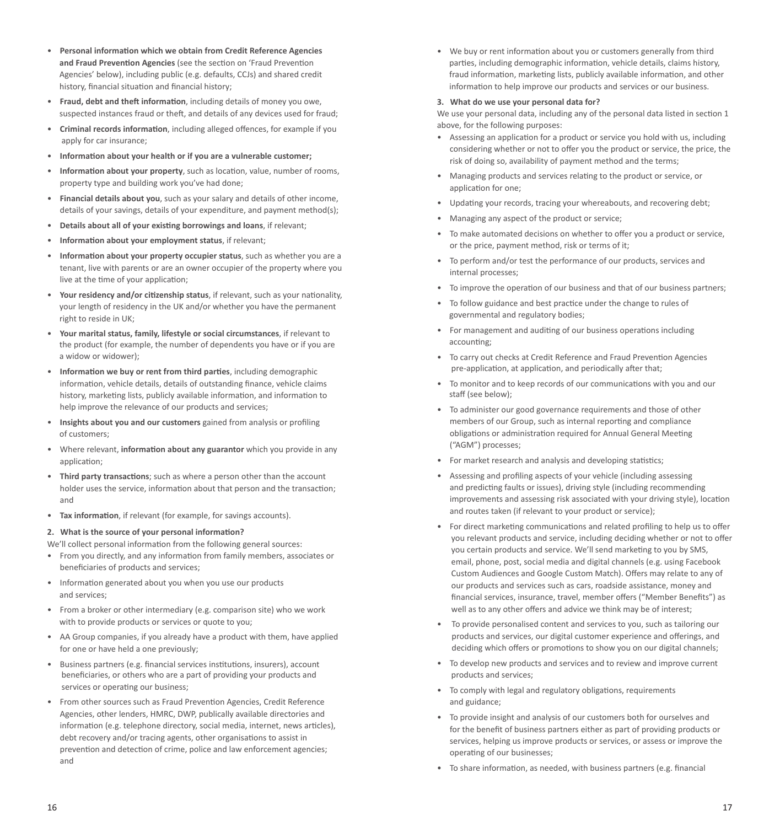- **Personal information which we obtain from Credit Reference Agencies and Fraud Prevention Agencies** (see the section on 'Fraud Prevention Agencies' below), including public (e.g. defaults, CCJs) and shared credit history, financial situation and financial history;
- **Fraud, debt and theft information**, including details of money you owe, suspected instances fraud or theft, and details of any devices used for fraud;
- **Criminal records information**, including alleged offences, for example if you apply for car insurance;
- **Information about your health or if you are a vulnerable customer;**
- **Information about your property**, such as location, value, number of rooms, property type and building work you've had done;
- **Financial details about you**, such as your salary and details of other income, details of your savings, details of your expenditure, and payment method(s);
- **Details about all of your existing borrowings and loans**, if relevant;
- **Information about your employment status**, if relevant;
- **Information about your property occupier status**, such as whether you are a tenant, live with parents or are an owner occupier of the property where you live at the time of your application;
- **Your residency and/or citizenship status**, if relevant, such as your nationality, your length of residency in the UK and/or whether you have the permanent right to reside in UK;
- **Your marital status, family, lifestyle or social circumstances**, if relevant to the product (for example, the number of dependents you have or if you are a widow or widower);
- **Information we buy or rent from third parties**, including demographic information, vehicle details, details of outstanding finance, vehicle claims history, marketing lists, publicly available information, and information to help improve the relevance of our products and services;
- **Insights about you and our customers** gained from analysis or profiling of customers;
- Where relevant, **information about any guarantor** which you provide in any application;
- **Third party transactions**; such as where a person other than the account holder uses the service, information about that person and the transaction; and
- **Tax information**, if relevant (for example, for savings accounts).

#### **2. What is the source of your personal information?**

- We'll collect personal information from the following general sources:
- From you directly, and any information from family members, associates or beneficiaries of products and services;
- Information generated about you when you use our products and services;
- From a broker or other intermediary (e.g. comparison site) who we work with to provide products or services or quote to you;
- AA Group companies, if you already have a product with them, have applied for one or have held a one previously;
- Business partners (e.g. financial services institutions, insurers), account beneficiaries, or others who are a part of providing your products and services or operating our business;
- From other sources such as Fraud Prevention Agencies, Credit Reference Agencies, other lenders, HMRC, DWP, publically available directories and information (e.g. telephone directory, social media, internet, news articles), debt recovery and/or tracing agents, other organisations to assist in prevention and detection of crime, police and law enforcement agencies; and

• We buy or rent information about you or customers generally from third parties, including demographic information, vehicle details, claims history, fraud information, marketing lists, publicly available information, and other information to help improve our products and services or our business.

#### **3. What do we use your personal data for?**

We use your personal data, including any of the personal data listed in section 1 above, for the following purposes:

- Assessing an application for a product or service you hold with us, including considering whether or not to offer you the product or service, the price, the risk of doing so, availability of payment method and the terms;
- Managing products and services relating to the product or service, or application for one;
- Updating your records, tracing your whereabouts, and recovering debt;
- Managing any aspect of the product or service;
- To make automated decisions on whether to offer you a product or service, or the price, payment method, risk or terms of it;
- To perform and/or test the performance of our products, services and internal processes;
- To improve the operation of our business and that of our business partners;
- To follow guidance and best practice under the change to rules of governmental and regulatory bodies;
- For management and auditing of our business operations including accounting;
- To carry out checks at Credit Reference and Fraud Prevention Agencies pre-application, at application, and periodically after that;
- To monitor and to keep records of our communications with you and our staff (see below);
- To administer our good governance requirements and those of other members of our Group, such as internal reporting and compliance obligations or administration required for Annual General Meeting ("AGM") processes;
- For market research and analysis and developing statistics;
- Assessing and profiling aspects of your vehicle (including assessing and predicting faults or issues), driving style (including recommending improvements and assessing risk associated with your driving style), location and routes taken (if relevant to your product or service);
- For direct marketing communications and related profiling to help us to offer you relevant products and service, including deciding whether or not to offer you certain products and service. We'll send marketing to you by SMS, email, phone, post, social media and digital channels (e.g. using Facebook Custom Audiences and Google Custom Match). Offers may relate to any of our products and services such as cars, roadside assistance, money and financial services, insurance, travel, member offers ("Member Benefits") as well as to any other offers and advice we think may be of interest;
- To provide personalised content and services to you, such as tailoring our products and services, our digital customer experience and offerings, and deciding which offers or promotions to show you on our digital channels;
- To develop new products and services and to review and improve current products and services;
- To comply with legal and regulatory obligations, requirements and guidance;
- To provide insight and analysis of our customers both for ourselves and for the benefit of business partners either as part of providing products or services, helping us improve products or services, or assess or improve the operating of our businesses;
- To share information, as needed, with business partners (e.g. financial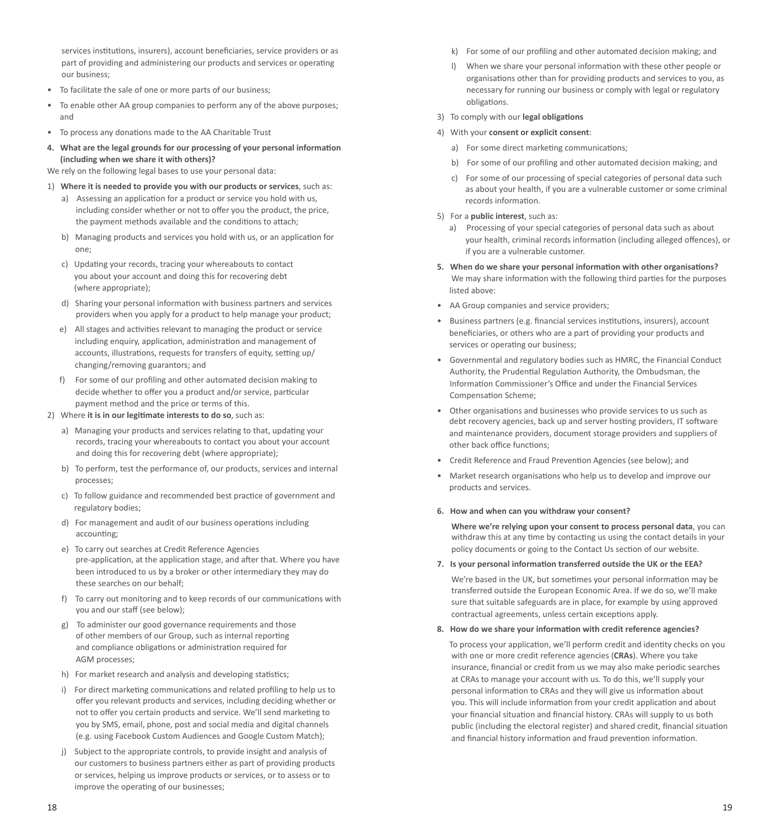services institutions, insurers), account beneficiaries, service providers or as part of providing and administering our products and services or operating our business;

- To facilitate the sale of one or more parts of our business;
- To enable other AA group companies to perform any of the above purposes; and
- To process any donations made to the AA Charitable Trust
- **4. What are the legal grounds for our processing of your personal information (including when we share it with others)?**

We rely on the following legal bases to use your personal data:

- 1) **Where it is needed to provide you with our products or services**, such as:
	- a) Assessing an application for a product or service you hold with us, including consider whether or not to offer you the product, the price, the payment methods available and the conditions to attach;
	- b) Managing products and services you hold with us, or an application for one;
	- c) Updating your records, tracing your whereabouts to contact you about your account and doing this for recovering debt (where appropriate);
	- d) Sharing your personal information with business partners and services providers when you apply for a product to help manage your product;
	- e) All stages and activities relevant to managing the product or service including enquiry, application, administration and management of accounts, illustrations, requests for transfers of equity, setting up/ changing/removing guarantors; and
	- f) For some of our profiling and other automated decision making to decide whether to offer you a product and/or service, particular payment method and the price or terms of this.
- 2) Where **it is in our legitimate interests to do so**, such as:
	- a) Managing your products and services relating to that, updating your records, tracing your whereabouts to contact you about your account and doing this for recovering debt (where appropriate);
	- b) To perform, test the performance of, our products, services and internal processes;
	- c) To follow guidance and recommended best practice of government and regulatory bodies;
	- d) For management and audit of our business operations including accounting;
	- e) To carry out searches at Credit Reference Agencies pre-application, at the application stage, and after that. Where you have been introduced to us by a broker or other intermediary they may do these searches on our behalf;
	- f) To carry out monitoring and to keep records of our communications with you and our staff (see below);
	- To administer our good governance requirements and those of other members of our Group, such as internal reporting and compliance obligations or administration required for AGM processes;
	- h) For market research and analysis and developing statistics;
	- i) For direct marketing communications and related profiling to help us to offer you relevant products and services, including deciding whether or not to offer you certain products and service. We'll send marketing to you by SMS, email, phone, post and social media and digital channels (e.g. using Facebook Custom Audiences and Google Custom Match);
	- j) Subject to the appropriate controls, to provide insight and analysis of our customers to business partners either as part of providing products or services, helping us improve products or services, or to assess or to improve the operating of our businesses;
- k) For some of our profiling and other automated decision making; and
- l) When we share your personal information with these other people or organisations other than for providing products and services to you, as necessary for running our business or comply with legal or regulatory obligations.
- 3) To comply with our **legal obligations**
- 4) With your **consent or explicit consent**:
	- a) For some direct marketing communications;
	- b) For some of our profiling and other automated decision making; and
	- c) For some of our processing of special categories of personal data such as about your health, if you are a vulnerable customer or some criminal records information.
- 5) For a **public interest**, such as:
	- a) Processing of your special categories of personal data such as about your health, criminal records information (including alleged offences), or if you are a vulnerable customer.
- **5. When do we share your personal information with other organisations?** We may share information with the following third parties for the purposes listed above:
- AA Group companies and service providers;
- Business partners (e.g. financial services institutions, insurers), account beneficiaries, or others who are a part of providing your products and services or operating our business;
- Governmental and regulatory bodies such as HMRC, the Financial Conduct Authority, the Prudential Regulation Authority, the Ombudsman, the Information Commissioner's Office and under the Financial Services Compensation Scheme;
- Other organisations and businesses who provide services to us such as debt recovery agencies, back up and server hosting providers, IT software and maintenance providers, document storage providers and suppliers of other back office functions;
- Credit Reference and Fraud Prevention Agencies (see below); and
- Market research organisations who help us to develop and improve our products and services.

#### **6. How and when can you withdraw your consent?**

 **Where we're relying upon your consent to process personal data**, you can withdraw this at any time by contacting us using the contact details in your policy documents or going to the Contact Us section of our website.

**7. Is your personal information transferred outside the UK or the EEA?** 

We're based in the UK, but sometimes your personal information may be transferred outside the European Economic Area. If we do so, we'll make sure that suitable safeguards are in place, for example by using approved contractual agreements, unless certain exceptions apply.

**8. How do we share your information with credit reference agencies?**

 To process your application, we'll perform credit and identity checks on you with one or more credit reference agencies (**CRAs**). Where you take insurance, financial or credit from us we may also make periodic searches at CRAs to manage your account with us. To do this, we'll supply your personal information to CRAs and they will give us information about you. This will include information from your credit application and about your financial situation and financial history. CRAs will supply to us both public (including the electoral register) and shared credit, financial situation and financial history information and fraud prevention information.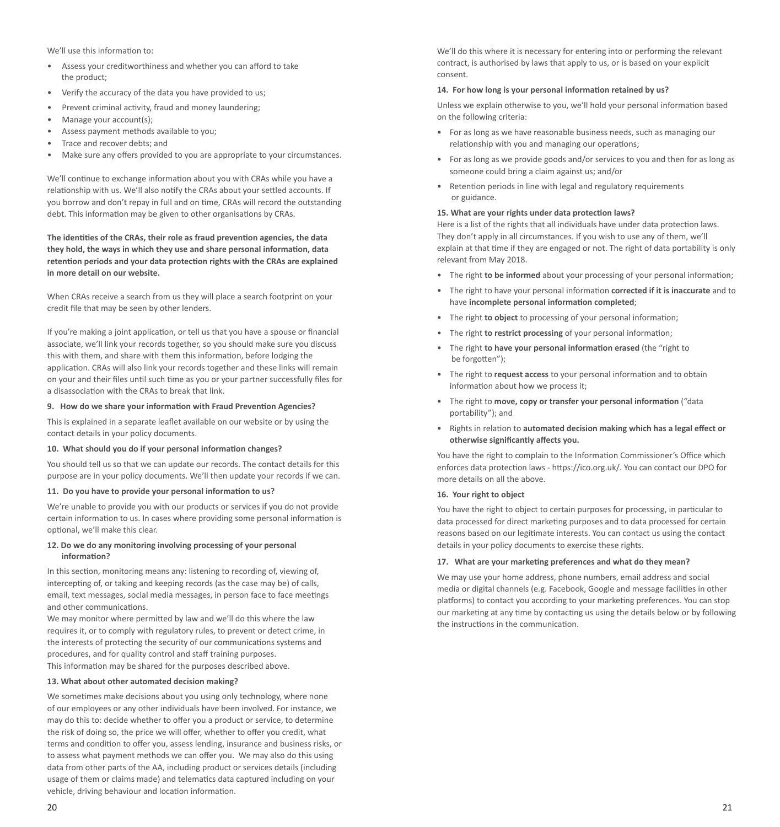We'll use this information to:

- Assess your creditworthiness and whether you can afford to take the product;
- Verify the accuracy of the data you have provided to us;
- Prevent criminal activity, fraud and money laundering;
- Manage your account(s);
- Assess payment methods available to you;
- Trace and recover debts; and
- Make sure any offers provided to you are appropriate to your circumstances.

We'll continue to exchange information about you with CRAs while you have a relationship with us. We'll also notify the CRAs about your settled accounts. If you borrow and don't repay in full and on time, CRAs will record the outstanding debt. This information may be given to other organisations by CRAs.

**The identities of the CRAs, their role as fraud prevention agencies, the data they hold, the ways in which they use and share personal information, data retention periods and your data protection rights with the CRAs are explained in more detail on our website.** 

When CRAs receive a search from us they will place a search footprint on your credit file that may be seen by other lenders.

If you're making a joint application, or tell us that you have a spouse or financial associate, we'll link your records together, so you should make sure you discuss this with them, and share with them this information, before lodging the application. CRAs will also link your records together and these links will remain on your and their files until such time as you or your partner successfully files for a disassociation with the CRAs to break that link.

### **9. How do we share your information with Fraud Prevention Agencies?**

This is explained in a separate leaflet available on our website or by using the contact details in your policy documents.

#### **10. What should you do if your personal information changes?**

You should tell us so that we can update our records. The contact details for this purpose are in your policy documents. We'll then update your records if we can.

#### **11. Do you have to provide your personal information to us?**

We're unable to provide you with our products or services if you do not provide certain information to us. In cases where providing some personal information is optional, we'll make this clear.

## **12. Do we do any monitoring involving processing of your personal information?**

In this section, monitoring means any: listening to recording of, viewing of, intercepting of, or taking and keeping records (as the case may be) of calls, email, text messages, social media messages, in person face to face meetings and other communications.

We may monitor where permitted by law and we'll do this where the law requires it, or to comply with regulatory rules, to prevent or detect crime, in the interests of protecting the security of our communications systems and procedures, and for quality control and staff training purposes. This information may be shared for the purposes described above.

## **13. What about other automated decision making?**

We sometimes make decisions about you using only technology, where none of our employees or any other individuals have been involved. For instance, we may do this to: decide whether to offer you a product or service, to determine the risk of doing so, the price we will offer, whether to offer you credit, what terms and condition to offer you, assess lending, insurance and business risks, or to assess what payment methods we can offer you. We may also do this using data from other parts of the AA, including product or services details (including usage of them or claims made) and telematics data captured including on your vehicle, driving behaviour and location information.

We'll do this where it is necessary for entering into or performing the relevant contract, is authorised by laws that apply to us, or is based on your explicit consent.

## **14. For how long is your personal information retained by us?**

Unless we explain otherwise to you, we'll hold your personal information based on the following criteria:

- For as long as we have reasonable business needs, such as managing our relationship with you and managing our operations;
- For as long as we provide goods and/or services to you and then for as long as someone could bring a claim against us; and/or
- Retention periods in line with legal and regulatory requirements or guidance.

# **15. What are your rights under data protection laws?**

Here is a list of the rights that all individuals have under data protection laws. They don't apply in all circumstances. If you wish to use any of them, we'll explain at that time if they are engaged or not. The right of data portability is only relevant from May 2018.

- The right **to be informed** about your processing of your personal information;
- The right to have your personal information **corrected if it is inaccurate** and to have **incomplete personal information completed**;
- The right **to object** to processing of your personal information;
- The right **to restrict processing** of your personal information;
- The right **to have your personal information erased** (the "right to be forgotten");
- The right to **request access** to your personal information and to obtain information about how we process it;
- The right to **move, copy or transfer your personal information** ("data portability"); and
- Rights in relation to **automated decision making which has a legal effect or otherwise significantly affects you.**

You have the right to complain to the Information Commissioner's Office which enforces data protection laws - https://ico.org.uk/. You can contact our DPO for more details on all the above.

#### **16. Your right to object**

You have the right to object to certain purposes for processing, in particular to data processed for direct marketing purposes and to data processed for certain reasons based on our legitimate interests. You can contact us using the contact details in your policy documents to exercise these rights.

#### **17. What are your marketing preferences and what do they mean?**

We may use your home address, phone numbers, email address and social media or digital channels (e.g. Facebook, Google and message facilities in other platforms) to contact you according to your marketing preferences. You can stop our marketing at any time by contacting us using the details below or by following the instructions in the communication.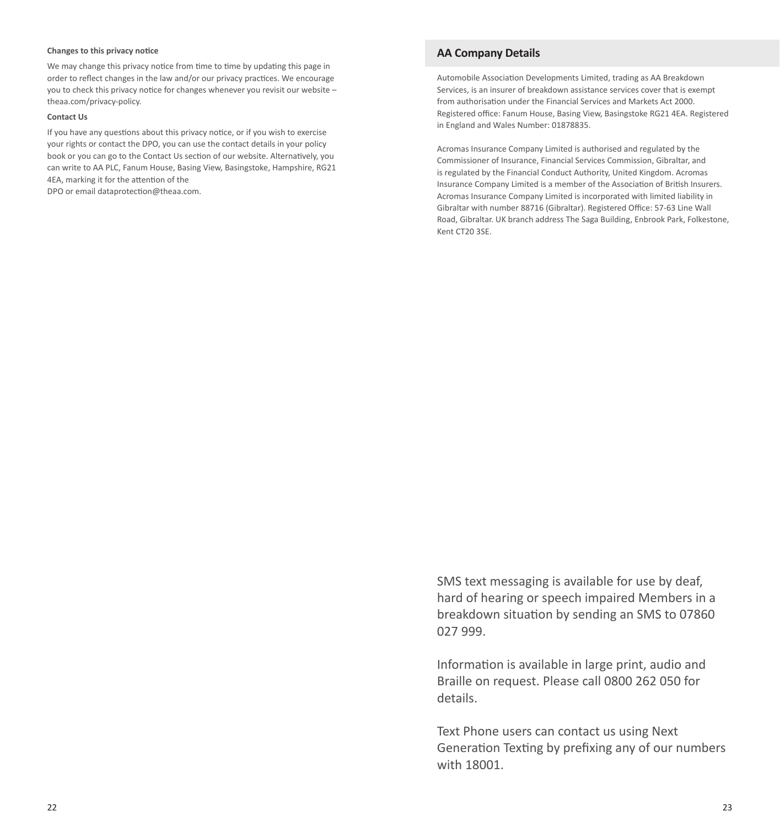## **Changes to this privacy notice**

We may change this privacy notice from time to time by updating this page in order to reflect changes in the law and/or our privacy practices. We encourage you to check this privacy notice for changes whenever you revisit our website – theaa.com/privacy-policy.

## **Contact Us**

If you have any questions about this privacy notice, or if you wish to exercise your rights or contact the DPO, you can use the contact details in your policy book or you can go to the Contact Us section of our website. Alternatively, you can write to AA PLC, Fanum House, Basing View, Basingstoke, Hampshire, RG21 4EA, marking it for the attention of the

DPO or email dataprotection@theaa.com.

## **AA Company Details**

Automobile Association Developments Limited, trading as AA Breakdown Services, is an insurer of breakdown assistance services cover that is exempt from authorisation under the Financial Services and Markets Act 2000. Registered office: Fanum House, Basing View, Basingstoke RG21 4EA. Registered in England and Wales Number: 01878835.

Acromas Insurance Company Limited is authorised and regulated by the Commissioner of Insurance, Financial Services Commission, Gibraltar, and is regulated by the Financial Conduct Authority, United Kingdom. Acromas Insurance Company Limited is a member of the Association of British Insurers. Acromas Insurance Company Limited is incorporated with limited liability in Gibraltar with number 88716 (Gibraltar). Registered Office: 57-63 Line Wall Road, Gibraltar. UK branch address The Saga Building, Enbrook Park, Folkestone, Kent CT20 3SE.

SMS text messaging is available for use by deaf, hard of hearing or speech impaired Members in a breakdown situation by sending an SMS to 07860 027 999.

Information is available in large print, audio and Braille on request. Please call 0800 262 050 for details.

Text Phone users can contact us using Next Generation Texting by prefixing any of our numbers with 18001.